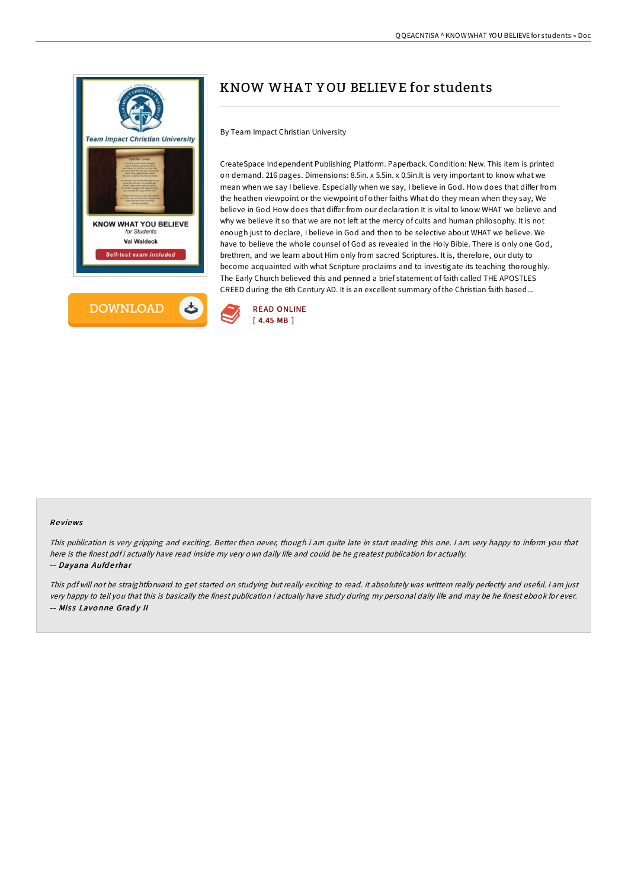



# KNOW WHA T Y OU BELIEVE for students

By Team Impact Christian University

CreateSpace Independent Publishing Platform. Paperback. Condition: New. This item is printed on demand. 216 pages. Dimensions: 8.5in. x 5.5in. x 0.5in.It is very important to know what we mean when we say I believe. Especially when we say, I believe in God. How does that differ from the heathen viewpoint or the viewpoint of other faiths What do they mean when they say, We believe in God How does that differ from our declaration It is vital to know WHAT we believe and why we believe it so that we are not left at the mercy of cults and human philosophy. It is not enough just to declare, I believe in God and then to be selective about WHAT we believe. We have to believe the whole counsel of God as revealed in the Holy Bible. There is only one God, brethren, and we learn about Him only from sacred Scriptures. It is, therefore, our duty to become acquainted with what Scripture proclaims and to investigate its teaching thoroughly. The Early Church believed this and penned a brief statement of faith called THE APOSTLES CREED during the 6th Century AD. It is an excellent summary of the Christian faith based...



### Re views

This publication is very gripping and exciting. Better then never, though i am quite late in start reading this one. <sup>I</sup> am very happy to inform you that here is the finest pdf i actually have read inside my very own daily life and could be he greatest publication for actually. -- Dayana Aufderhar

This pdf will not be straightforward to get started on studying but really exciting to read. it absolutely was writtern really perfectly and useful. I am just very happy to tell you that this is basically the finest publication i actually have study during my personal daily life and may be he finest ebook for ever. -- Miss Lavonne Grady II